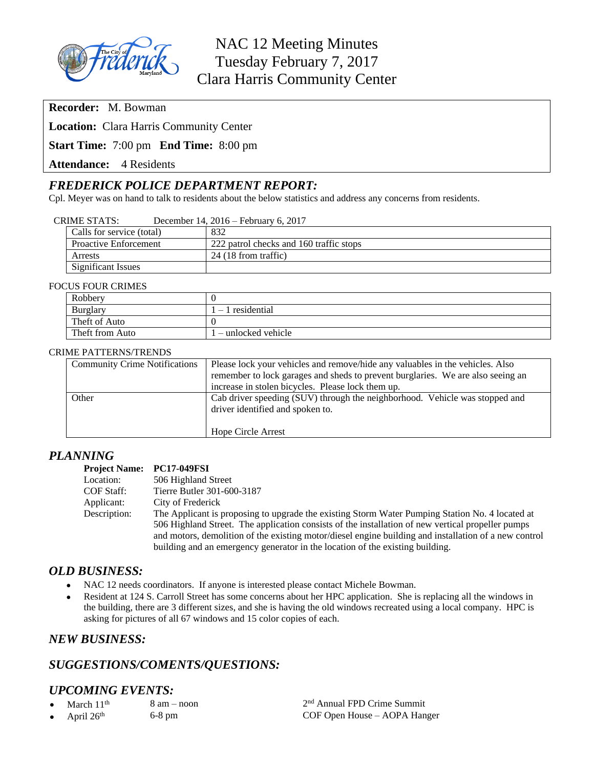

**Recorder:** M. Bowman

**Location:** Clara Harris Community Center

**Start Time:** 7:00 pm **End Time:** 8:00 pm

Attendance: 4 Residents

## *FREDERICK POLICE DEPARTMENT REPORT:*

Cpl. Meyer was on hand to talk to residents about the below statistics and address any concerns from residents.

#### CRIME STATS: December 14, 2016 – February 6, 2017

| Calls for service (total)    | 832                                     |
|------------------------------|-----------------------------------------|
| <b>Proactive Enforcement</b> | 222 patrol checks and 160 traffic stops |
| Arrests                      | 24(18 from traffic)                     |
| Significant Issues           |                                         |

#### FOCUS FOUR CRIMES

| Robbery         |                      |  |
|-----------------|----------------------|--|
| <b>Burglary</b> | $-1$ residential     |  |
| Theft of Auto   |                      |  |
| Theft from Auto | ' – unlocked vehicle |  |

#### CRIME PATTERNS/TRENDS

| <b>Community Crime Notifications</b> | Please lock your vehicles and remove/hide any valuables in the vehicles. Also   |
|--------------------------------------|---------------------------------------------------------------------------------|
|                                      | remember to lock garages and sheds to prevent burglaries. We are also seeing an |
|                                      | increase in stolen bicycles. Please lock them up.                               |
| Other                                | Cab driver speeding (SUV) through the neighborhood. Vehicle was stopped and     |
|                                      | driver identified and spoken to.                                                |
|                                      |                                                                                 |
|                                      | Hope Circle Arrest                                                              |
|                                      |                                                                                 |

## *PLANNING*

#### **Project Name: PC17-049FSI**<br>Location: 506 Highland 506 Highland Street COF Staff: Tierre Butler 301-600-3187 Applicant: City of Frederick Description: The Applicant is proposing to upgrade the existing Storm Water Pumping Station No. 4 located at 506 Highland Street. The application consists of the installation of new vertical propeller pumps and motors, demolition of the existing motor/diesel engine building and installation of a new control building and an emergency generator in the location of the existing building.

## *OLD BUSINESS:*

- NAC 12 needs coordinators. If anyone is interested please contact Michele Bowman.
- Resident at 124 S. Carroll Street has some concerns about her HPC application. She is replacing all the windows in the building, there are 3 different sizes, and she is having the old windows recreated using a local company. HPC is asking for pictures of all 67 windows and 15 color copies of each.

## *NEW BUSINESS:*

# *SUGGESTIONS/COMENTS/QUESTIONS:*

## *UPCOMING EVENTS:*

- March  $11<sup>th</sup>$  8 am noon
- 

2<sup>nd</sup> Annual FPD Crime Summit April 26<sup>th</sup> 6-8 pm 6-8 pm COF Open House – AOPA Hanger